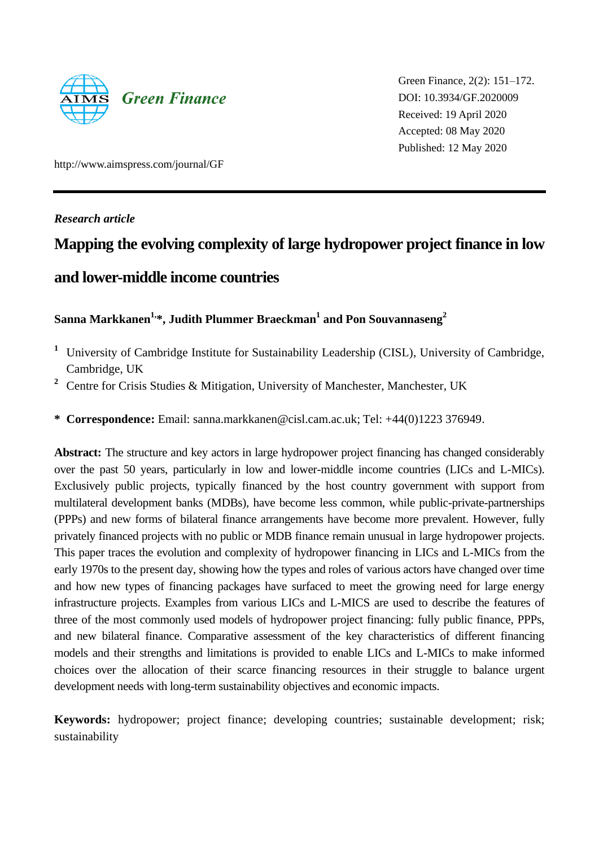

Green Finance, 2(2): 151–172. DOI: 10.3934/GF.2020009 Received: 19 April 2020 Accepted: 08 May 2020 Published: 12 May 2020

http://www.aimspress.com/journal/GF

*Research article*

# **Mapping the evolving complexity of large hydropower project finance in low**

## **and lower-middle income countries**

## **Sanna Markkanen1,\*, Judith Plummer Braeckman<sup>1</sup> and Pon Souvannaseng<sup>2</sup>**

- **<sup>1</sup>** University of Cambridge Institute for Sustainability Leadership (CISL), University of Cambridge, Cambridge, UK
- **<sup>2</sup>** Centre for Crisis Studies & Mitigation, University of Manchester, Manchester, UK
- **\* Correspondence:** Email: sanna.markkanen@cisl.cam.ac.uk; Tel: +44(0)1223 376949.

**Abstract:** The structure and key actors in large hydropower project financing has changed considerably over the past 50 years, particularly in low and lower-middle income countries (LICs and L-MICs). Exclusively public projects, typically financed by the host country government with support from multilateral development banks (MDBs), have become less common, while public-private-partnerships (PPPs) and new forms of bilateral finance arrangements have become more prevalent. However, fully privately financed projects with no public or MDB finance remain unusual in large hydropower projects. This paper traces the evolution and complexity of hydropower financing in LICs and L-MICs from the early 1970s to the present day, showing how the types and roles of various actors have changed over time and how new types of financing packages have surfaced to meet the growing need for large energy infrastructure projects. Examples from various LICs and L-MICS are used to describe the features of three of the most commonly used models of hydropower project financing: fully public finance, PPPs, and new bilateral finance. Comparative assessment of the key characteristics of different financing models and their strengths and limitations is provided to enable LICs and L-MICs to make informed choices over the allocation of their scarce financing resources in their struggle to balance urgent development needs with long-term sustainability objectives and economic impacts.

**Keywords:** hydropower; project finance; developing countries; sustainable development; risk; sustainability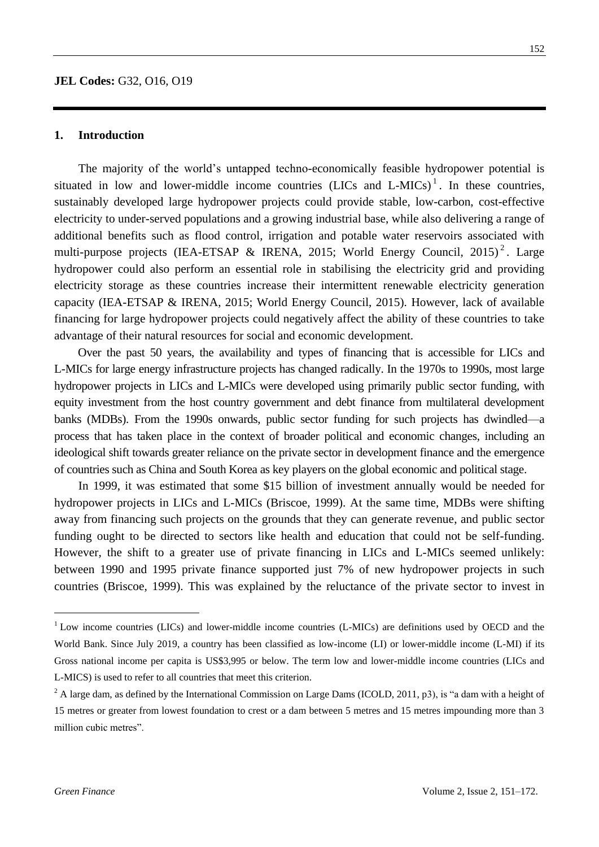#### **1. Introduction**

The majority of the world's untapped techno-economically feasible hydropower potential is situated in low and lower-middle income countries  $(LICs)$  and  $L-MICs$ <sup>1</sup>. In these countries, sustainably developed large hydropower projects could provide stable, low-carbon, cost-effective electricity to under-served populations and a growing industrial base, while also delivering a range of additional benefits such as flood control, irrigation and potable water reservoirs associated with multi-purpose projects (IEA-ETSAP & IRENA, 2015; World Energy Council, 2015)<sup>2</sup>. Large hydropower could also perform an essential role in stabilising the electricity grid and providing electricity storage as these countries increase their intermittent renewable electricity generation capacity (IEA-ETSAP & IRENA, 2015; World Energy Council, 2015). However, lack of available financing for large hydropower projects could negatively affect the ability of these countries to take advantage of their natural resources for social and economic development.

Over the past 50 years, the availability and types of financing that is accessible for LICs and L-MICs for large energy infrastructure projects has changed radically. In the 1970s to 1990s, most large hydropower projects in LICs and L-MICs were developed using primarily public sector funding, with equity investment from the host country government and debt finance from multilateral development banks (MDBs). From the 1990s onwards, public sector funding for such projects has dwindled—a process that has taken place in the context of broader political and economic changes, including an ideological shift towards greater reliance on the private sector in development finance and the emergence of countries such as China and South Korea as key players on the global economic and political stage.

In 1999, it was estimated that some \$15 billion of investment annually would be needed for hydropower projects in LICs and L-MICs (Briscoe, 1999). At the same time, MDBs were shifting away from financing such projects on the grounds that they can generate revenue, and public sector funding ought to be directed to sectors like health and education that could not be self-funding. However, the shift to a greater use of private financing in LICs and L-MICs seemed unlikely: between 1990 and 1995 private finance supported just 7% of new hydropower projects in such countries (Briscoe, 1999). This was explained by the reluctance of the private sector to invest in

<sup>&</sup>lt;sup>1</sup> Low income countries (LICs) and lower-middle income countries (L-MICs) are definitions used by OECD and the World Bank. Since July 2019, a country has been classified as low-income (LI) or lower-middle income (L-MI) if its Gross national income per capita is US\$3,995 or below. The term low and lower-middle income countries (LICs and L-MICS) is used to refer to all countries that meet this criterion.

 $2$  A large dam, as defined by the International Commission on Large Dams (ICOLD, 2011, p3), is "a dam with a height of 15 metres or greater from lowest foundation to crest or a dam between 5 metres and 15 metres impounding more than 3 million cubic metres".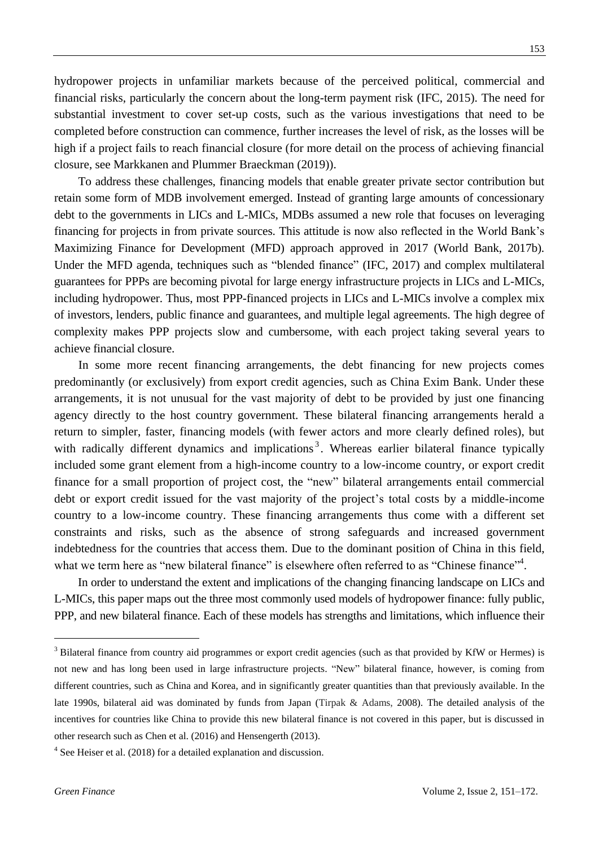hydropower projects in unfamiliar markets because of the perceived political, commercial and financial risks, particularly the concern about the long-term payment risk (IFC, 2015). The need for substantial investment to cover set-up costs, such as the various investigations that need to be completed before construction can commence, further increases the level of risk, as the losses will be high if a project fails to reach financial closure (for more detail on the process of achieving financial closure, see Markkanen and Plummer Braeckman (2019)).

To address these challenges, financing models that enable greater private sector contribution but retain some form of MDB involvement emerged. Instead of granting large amounts of concessionary debt to the governments in LICs and L-MICs, MDBs assumed a new role that focuses on leveraging financing for projects in from private sources. This attitude is now also reflected in the World Bank's Maximizing Finance for Development (MFD) approach approved in 2017 (World Bank, 2017b). Under the MFD agenda, techniques such as "blended finance" (IFC, 2017) and complex multilateral guarantees for PPPs are becoming pivotal for large energy infrastructure projects in LICs and L-MICs, including hydropower. Thus, most PPP-financed projects in LICs and L-MICs involve a complex mix of investors, lenders, public finance and guarantees, and multiple legal agreements. The high degree of complexity makes PPP projects slow and cumbersome, with each project taking several years to achieve financial closure.

In some more recent financing arrangements, the debt financing for new projects comes predominantly (or exclusively) from export credit agencies, such as China Exim Bank. Under these arrangements, it is not unusual for the vast majority of debt to be provided by just one financing agency directly to the host country government. These bilateral financing arrangements herald a return to simpler, faster, financing models (with fewer actors and more clearly defined roles), but with radically different dynamics and implications<sup>3</sup>. Whereas earlier bilateral finance typically included some grant element from a high-income country to a low-income country, or export credit finance for a small proportion of project cost, the "new" bilateral arrangements entail commercial debt or export credit issued for the vast majority of the project's total costs by a middle-income country to a low-income country. These financing arrangements thus come with a different set constraints and risks, such as the absence of strong safeguards and increased government indebtedness for the countries that access them. Due to the dominant position of China in this field, what we term here as "new bilateral finance" is elsewhere often referred to as "Chinese finance"<sup>4</sup>.

In order to understand the extent and implications of the changing financing landscape on LICs and L-MICs, this paper maps out the three most commonly used models of hydropower finance: fully public, PPP, and new bilateral finance. Each of these models has strengths and limitations, which influence their

<u>.</u>

<sup>&</sup>lt;sup>3</sup> Bilateral finance from country aid programmes or export credit agencies (such as that provided by KfW or Hermes) is not new and has long been used in large infrastructure projects. "New" bilateral finance, however, is coming from different countries, such as China and Korea, and in significantly greater quantities than that previously available. In the late 1990s, bilateral aid was dominated by funds from Japan (Tirpak & Adams, 2008). The detailed analysis of the incentives for countries like China to provide this new bilateral finance is not covered in this paper, but is discussed in other research such as Chen et al. (2016) and Hensengerth (2013).

 $4$  See Heiser et al. (2018) for a detailed explanation and discussion.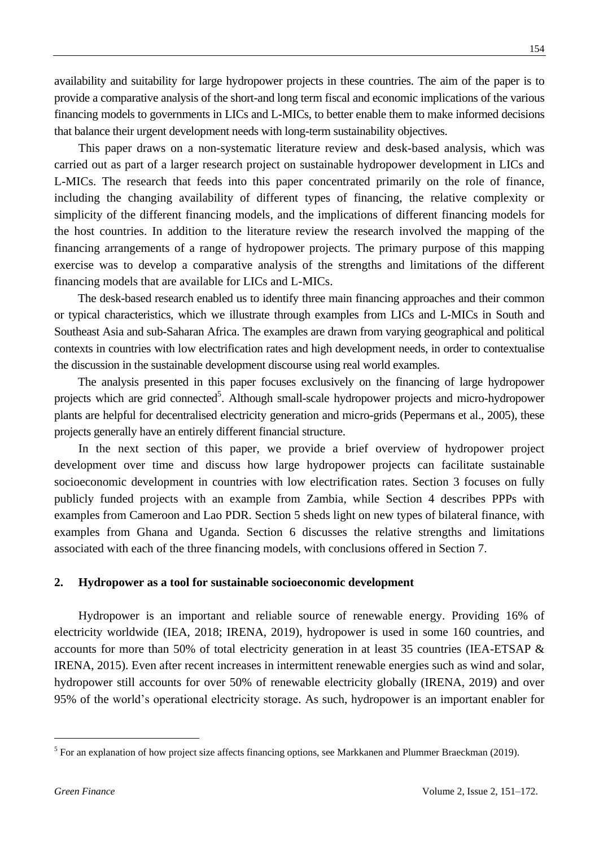availability and suitability for large hydropower projects in these countries. The aim of the paper is to provide a comparative analysis of the short-and long term fiscal and economic implications of the various financing models to governments in LICs and L-MICs, to better enable them to make informed decisions that balance their urgent development needs with long-term sustainability objectives.

This paper draws on a non-systematic literature review and desk-based analysis, which was carried out as part of a larger research project on sustainable hydropower development in LICs and L-MICs. The research that feeds into this paper concentrated primarily on the role of finance, including the changing availability of different types of financing, the relative complexity or simplicity of the different financing models, and the implications of different financing models for the host countries. In addition to the literature review the research involved the mapping of the financing arrangements of a range of hydropower projects. The primary purpose of this mapping exercise was to develop a comparative analysis of the strengths and limitations of the different financing models that are available for LICs and L-MICs.

The desk-based research enabled us to identify three main financing approaches and their common or typical characteristics, which we illustrate through examples from LICs and L-MICs in South and Southeast Asia and sub-Saharan Africa. The examples are drawn from varying geographical and political contexts in countries with low electrification rates and high development needs, in order to contextualise the discussion in the sustainable development discourse using real world examples.

The analysis presented in this paper focuses exclusively on the financing of large hydropower projects which are grid connected<sup>5</sup>. Although small-scale hydropower projects and micro-hydropower plants are helpful for decentralised electricity generation and micro-grids (Pepermans et al., 2005), these projects generally have an entirely different financial structure.

In the next section of this paper, we provide a brief overview of hydropower project development over time and discuss how large hydropower projects can facilitate sustainable socioeconomic development in countries with low electrification rates. Section 3 focuses on fully publicly funded projects with an example from Zambia, while Section 4 describes PPPs with examples from Cameroon and Lao PDR. Section 5 sheds light on new types of bilateral finance, with examples from Ghana and Uganda. Section 6 discusses the relative strengths and limitations associated with each of the three financing models, with conclusions offered in Section 7.

## **2. Hydropower as a tool for sustainable socioeconomic development**

Hydropower is an important and reliable source of renewable energy. Providing 16% of electricity worldwide (IEA, 2018; IRENA, 2019), hydropower is used in some 160 countries, and accounts for more than 50% of total electricity generation in at least 35 countries (IEA-ETSAP & IRENA, 2015). Even after recent increases in intermittent renewable energies such as wind and solar, hydropower still accounts for over 50% of renewable electricity globally (IRENA, 2019) and over 95% of the world's operational electricity storage. As such, hydropower is an important enabler for

 $<sup>5</sup>$  For an explanation of how project size affects financing options, see Markkanen and Plummer Braeckman (2019).</sup>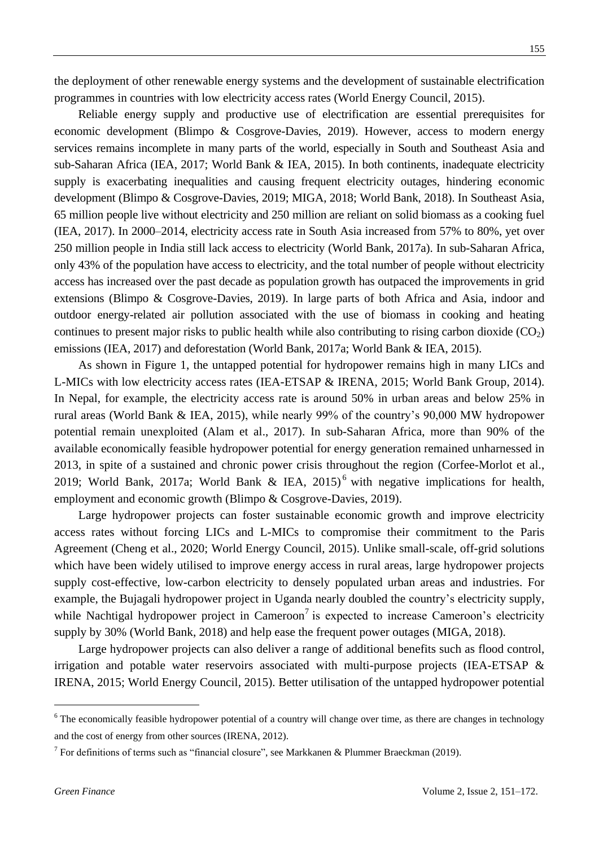the deployment of other renewable energy systems and the development of sustainable electrification programmes in countries with low electricity access rates (World Energy Council, 2015).

Reliable energy supply and productive use of electrification are essential prerequisites for economic development (Blimpo & Cosgrove-Davies, 2019). However, access to modern energy services remains incomplete in many parts of the world, especially in South and Southeast Asia and sub-Saharan Africa (IEA, 2017; World Bank & IEA, 2015). In both continents, inadequate electricity supply is exacerbating inequalities and causing frequent electricity outages, hindering economic development (Blimpo & Cosgrove-Davies, 2019; MIGA, 2018; World Bank, 2018). In Southeast Asia, 65 million people live without electricity and 250 million are reliant on solid biomass as a cooking fuel (IEA, 2017). In 2000–2014, electricity access rate in South Asia increased from 57% to 80%, yet over 250 million people in India still lack access to electricity (World Bank, 2017a). In sub-Saharan Africa, only 43% of the population have access to electricity, and the total number of people without electricity access has increased over the past decade as population growth has outpaced the improvements in grid extensions (Blimpo & Cosgrove-Davies, 2019). In large parts of both Africa and Asia, indoor and outdoor energy-related air pollution associated with the use of biomass in cooking and heating continues to present major risks to public health while also contributing to rising carbon dioxide  $(CO_2)$ emissions (IEA, 2017) and deforestation (World Bank, 2017a; World Bank & IEA, 2015).

As shown in Figure 1, the untapped potential for hydropower remains high in many LICs and L-MICs with low electricity access rates (IEA-ETSAP & IRENA, 2015; World Bank Group, 2014). In Nepal, for example, the electricity access rate is around 50% in urban areas and below 25% in rural areas (World Bank & IEA, 2015), while nearly 99% of the country's 90,000 MW hydropower potential remain unexploited (Alam et al., 2017). In sub-Saharan Africa, more than 90% of the available economically feasible hydropower potential for energy generation remained unharnessed in 2013, in spite of a sustained and chronic power crisis throughout the region (Corfee-Morlot et al., 2019; World Bank, 2017a; World Bank & IEA, 2015)<sup>6</sup> with negative implications for health, employment and economic growth (Blimpo & Cosgrove-Davies, 2019).

Large hydropower projects can foster sustainable economic growth and improve electricity access rates without forcing LICs and L-MICs to compromise their commitment to the Paris Agreement (Cheng et al., 2020; World Energy Council, 2015). Unlike small-scale, off-grid solutions which have been widely utilised to improve energy access in rural areas, large hydropower projects supply cost-effective, low-carbon electricity to densely populated urban areas and industries. For example, the Bujagali hydropower project in Uganda nearly doubled the country's electricity supply, while Nachtigal hydropower project in Cameroon<sup>7</sup> is expected to increase Cameroon's electricity supply by 30% (World Bank, 2018) and help ease the frequent power outages (MIGA, 2018).

Large hydropower projects can also deliver a range of additional benefits such as flood control, irrigation and potable water reservoirs associated with multi-purpose projects (IEA-ETSAP & IRENA, 2015; World Energy Council, 2015). Better utilisation of the untapped hydropower potential

<sup>&</sup>lt;sup>6</sup> The economically feasible hydropower potential of a country will change over time, as there are changes in technology and the cost of energy from other sources (IRENA, 2012).

<sup>&</sup>lt;sup>7</sup> For definitions of terms such as "financial closure", see Markkanen & Plummer Braeckman (2019).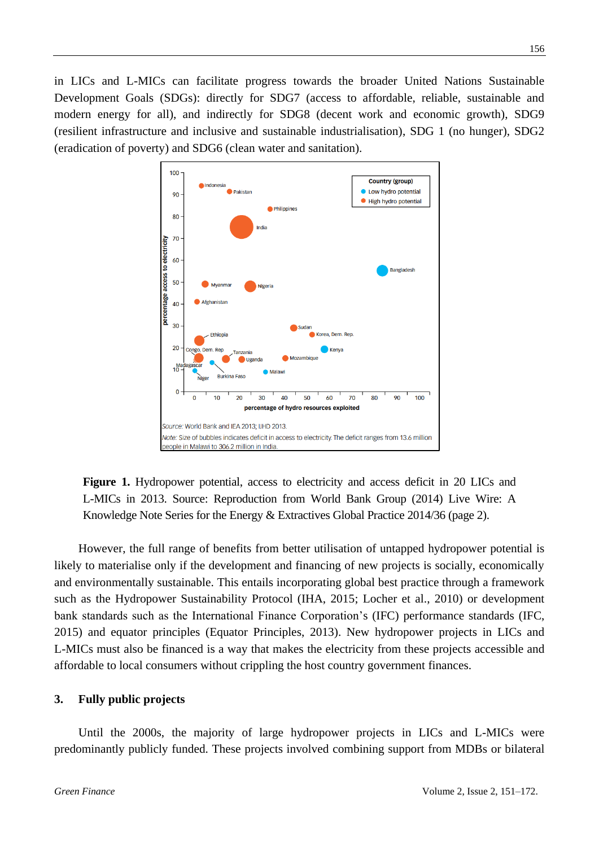in LICs and L-MICs can facilitate progress towards the broader United Nations Sustainable Development Goals (SDGs): directly for SDG7 (access to affordable, reliable, sustainable and modern energy for all), and indirectly for SDG8 (decent work and economic growth), SDG9 (resilient infrastructure and inclusive and sustainable industrialisation), SDG 1 (no hunger), SDG2 (eradication of poverty) and SDG6 (clean water and sanitation).



**Figure 1.** Hydropower potential, access to electricity and access deficit in 20 LICs and L-MICs in 2013. Source: Reproduction from World Bank Group (2014) Live Wire: A Knowledge Note Series for the Energy & Extractives Global Practice 2014/36 (page 2).

However, the full range of benefits from better utilisation of untapped hydropower potential is likely to materialise only if the development and financing of new projects is socially, economically and environmentally sustainable. This entails incorporating global best practice through a framework such as the Hydropower Sustainability Protocol (IHA, 2015; Locher et al., 2010) or development bank standards such as the International Finance Corporation's (IFC) performance standards (IFC, 2015) and equator principles (Equator Principles, 2013). New hydropower projects in LICs and L-MICs must also be financed is a way that makes the electricity from these projects accessible and affordable to local consumers without crippling the host country government finances.

#### **3. Fully public projects**

Until the 2000s, the majority of large hydropower projects in LICs and L-MICs were predominantly publicly funded. These projects involved combining support from MDBs or bilateral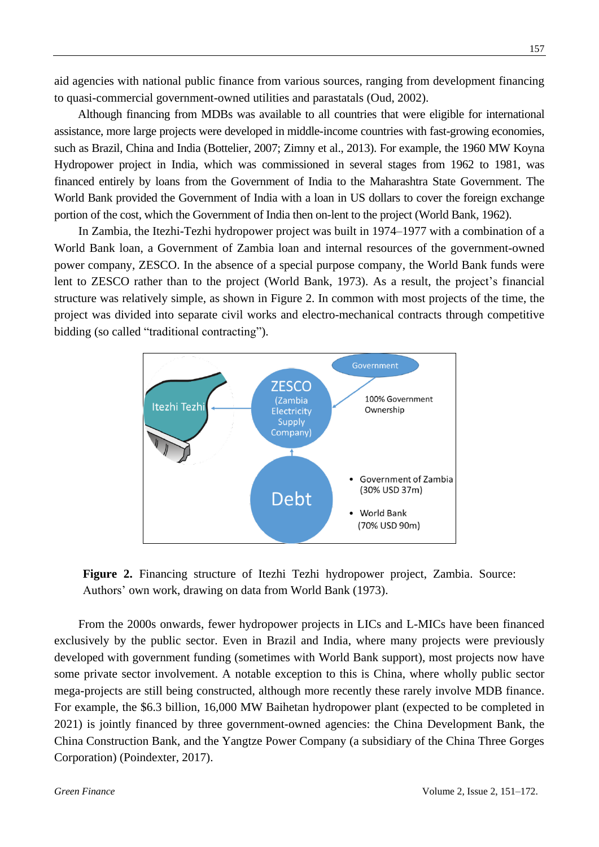aid agencies with national public finance from various sources, ranging from development financing to quasi-commercial government-owned utilities and parastatals (Oud, 2002).

Although financing from MDBs was available to all countries that were eligible for international assistance, more large projects were developed in middle-income countries with fast-growing economies, such as Brazil, China and India (Bottelier, 2007; Zimny et al., 2013). For example, the 1960 MW Koyna Hydropower project in India, which was commissioned in several stages from 1962 to 1981, was financed entirely by loans from the Government of India to the Maharashtra State Government. The World Bank provided the Government of India with a loan in US dollars to cover the foreign exchange portion of the cost, which the Government of India then on-lent to the project (World Bank, 1962).

In Zambia, the Itezhi-Tezhi hydropower project was built in 1974–1977 with a combination of a World Bank loan, a Government of Zambia loan and internal resources of the government-owned power company, ZESCO. In the absence of a special purpose company, the World Bank funds were lent to ZESCO rather than to the project (World Bank, 1973). As a result, the project's financial structure was relatively simple, as shown in Figure 2. In common with most projects of the time, the project was divided into separate civil works and electro-mechanical contracts through competitive bidding (so called "traditional contracting").



**Figure 2.** Financing structure of Itezhi Tezhi hydropower project, Zambia. Source: Authors' own work, drawing on data from World Bank (1973).

From the 2000s onwards, fewer hydropower projects in LICs and L-MICs have been financed exclusively by the public sector. Even in Brazil and India, where many projects were previously developed with government funding (sometimes with World Bank support), most projects now have some private sector involvement. A notable exception to this is China, where wholly public sector mega-projects are still being constructed, although more recently these rarely involve MDB finance. For example, the \$6.3 billion, 16,000 MW Baihetan hydropower plant (expected to be completed in 2021) is jointly financed by three government-owned agencies: the China Development Bank, the China Construction Bank, and the Yangtze Power Company (a subsidiary of the China Three Gorges Corporation) (Poindexter, 2017).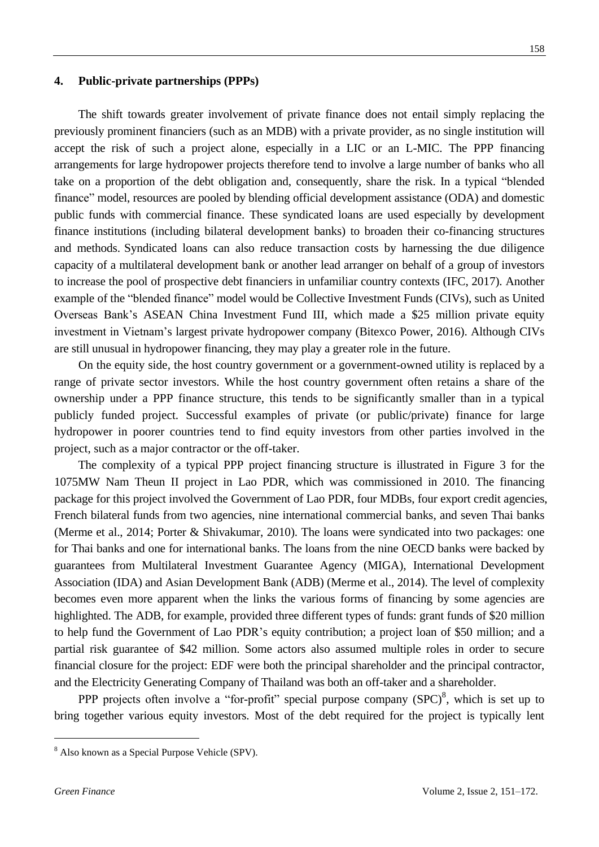### **4. Public-private partnerships (PPPs)**

The shift towards greater involvement of private finance does not entail simply replacing the previously prominent financiers (such as an MDB) with a private provider, as no single institution will accept the risk of such a project alone, especially in a LIC or an L-MIC. The PPP financing arrangements for large hydropower projects therefore tend to involve a large number of banks who all take on a proportion of the debt obligation and, consequently, share the risk. In a typical "blended" finance" model, resources are pooled by blending official development assistance (ODA) and domestic public funds with commercial finance. These syndicated loans are used especially by development finance institutions (including bilateral development banks) to broaden their co-financing structures and methods. Syndicated loans can also reduce transaction costs by harnessing the due diligence capacity of a multilateral development bank or another lead arranger on behalf of a group of investors to increase the pool of prospective debt financiers in unfamiliar country contexts (IFC, 2017). Another example of the "blended finance" model would be Collective Investment Funds (CIVs), such as United Overseas Bank's ASEAN China Investment Fund III, which made a \$25 million private equity investment in Vietnam's largest private hydropower company (Bitexco Power, 2016). Although CIVs are still unusual in hydropower financing, they may play a greater role in the future.

On the equity side, the host country government or a government-owned utility is replaced by a range of private sector investors. While the host country government often retains a share of the ownership under a PPP finance structure, this tends to be significantly smaller than in a typical publicly funded project. Successful examples of private (or public/private) finance for large hydropower in poorer countries tend to find equity investors from other parties involved in the project, such as a major contractor or the off-taker.

The complexity of a typical PPP project financing structure is illustrated in Figure 3 for the 1075MW Nam Theun II project in Lao PDR, which was commissioned in 2010. The financing package for this project involved the Government of Lao PDR, four MDBs, four export credit agencies, French bilateral funds from two agencies, nine international commercial banks, and seven Thai banks (Merme et al., 2014; Porter & Shivakumar, 2010). The loans were syndicated into two packages: one for Thai banks and one for international banks. The loans from the nine OECD banks were backed by guarantees from Multilateral Investment Guarantee Agency (MIGA), International Development Association (IDA) and Asian Development Bank (ADB) (Merme et al., 2014). The level of complexity becomes even more apparent when the links the various forms of financing by some agencies are highlighted. The ADB, for example, provided three different types of funds: grant funds of \$20 million to help fund the Government of Lao PDR's equity contribution; a project loan of \$50 million; and a partial risk guarantee of \$42 million. Some actors also assumed multiple roles in order to secure financial closure for the project: EDF were both the principal shareholder and the principal contractor, and the Electricity Generating Company of Thailand was both an off-taker and a shareholder.

PPP projects often involve a "for-profit" special purpose company  $(SPC)^8$ , which is set up to bring together various equity investors. Most of the debt required for the project is typically lent

<sup>8</sup> Also known as a Special Purpose Vehicle (SPV).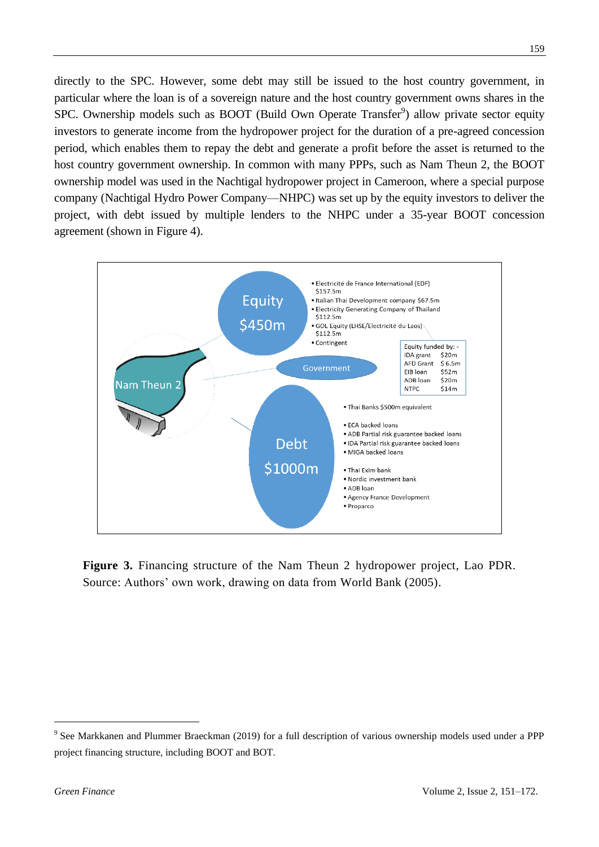directly to the SPC. However, some debt may still be issued to the host country government, in particular where the loan is of a sovereign nature and the host country government owns shares in the SPC. Ownership models such as BOOT (Build Own Operate Transfer<sup>9</sup>) allow private sector equity investors to generate income from the hydropower project for the duration of a pre-agreed concession period, which enables them to repay the debt and generate a profit before the asset is returned to the host country government ownership. In common with many PPPs, such as Nam Theun 2, the BOOT ownership model was used in the Nachtigal hydropower project in Cameroon, where a special purpose company (Nachtigal Hydro Power Company—NHPC) was set up by the equity investors to deliver the project, with debt issued by multiple lenders to the NHPC under a 35-year BOOT concession agreement (shown in Figure 4).



**Figure 3.** Financing structure of the Nam Theun 2 hydropower project, Lao PDR. Source: Authors' own work, drawing on data from World Bank (2005).

<sup>&</sup>lt;sup>9</sup> See Markkanen and Plummer Braeckman (2019) for a full description of various ownership models used under a PPP project financing structure, including BOOT and BOT.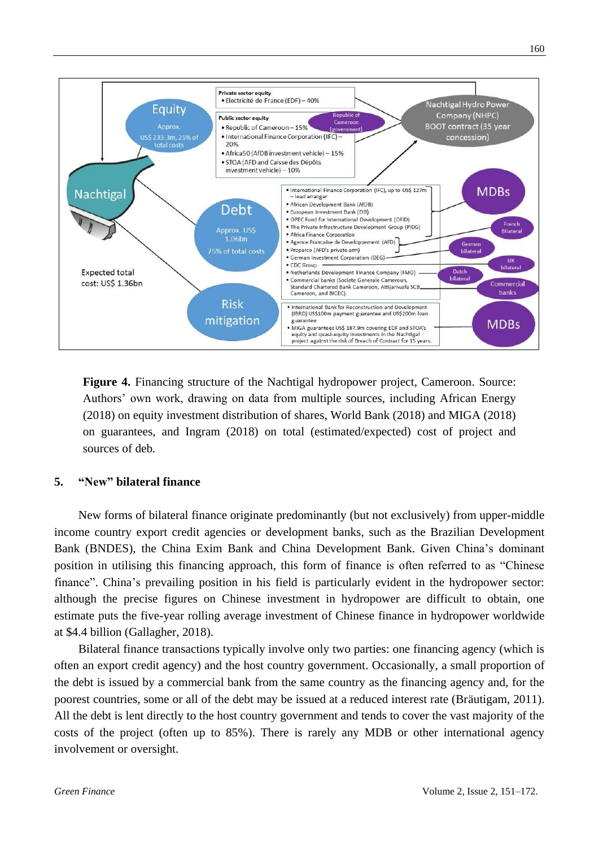

**Figure 4.** Financing structure of the Nachtigal hydropower project, Cameroon. Source: Authors' own work, drawing on data from multiple sources, including African Energy (2018) on equity investment distribution of shares, World Bank (2018) and MIGA (2018) on guarantees, and Ingram (2018) on total (estimated/expected) cost of project and sources of deb*.*

#### **5. "New" bilateral finance**

New forms of bilateral finance originate predominantly (but not exclusively) from upper-middle income country export credit agencies or development banks, such as the Brazilian Development Bank (BNDES), the China Exim Bank and China Development Bank. Given China's dominant position in utilising this financing approach, this form of finance is often referred to as "Chinese" finance". China's prevailing position in his field is particularly evident in the hydropower sector: although the precise figures on Chinese investment in hydropower are difficult to obtain, one estimate puts the five-year rolling average investment of Chinese finance in hydropower worldwide at \$4.4 billion (Gallagher, 2018).

Bilateral finance transactions typically involve only two parties: one financing agency (which is often an export credit agency) and the host country government. Occasionally, a small proportion of the debt is issued by a commercial bank from the same country as the financing agency and, for the poorest countries, some or all of the debt may be issued at a reduced interest rate (Bräutigam, 2011). All the debt is lent directly to the host country government and tends to cover the vast majority of the costs of the project (often up to 85%). There is rarely any MDB or other international agency involvement or oversight.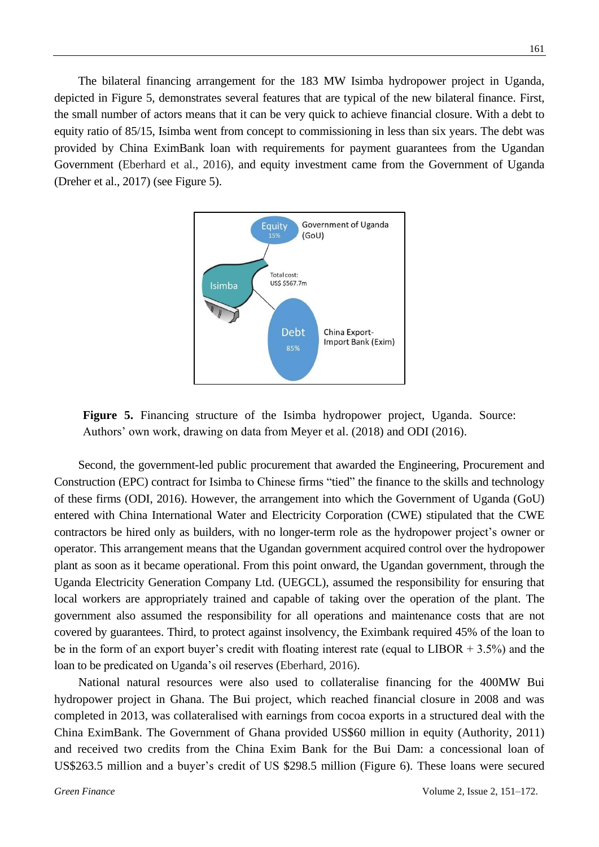The bilateral financing arrangement for the 183 MW Isimba hydropower project in Uganda, depicted in Figure 5, demonstrates several features that are typical of the new bilateral finance. First, the small number of actors means that it can be very quick to achieve financial closure. With a debt to equity ratio of 85/15, Isimba went from concept to commissioning in less than six years. The debt was provided by China EximBank loan with requirements for payment guarantees from the Ugandan Government (Eberhard et al., 2016), and equity investment came from the Government of Uganda (Dreher et al., 2017) (see Figure 5).



Figure 5. Financing structure of the Isimba hydropower project, Uganda. Source: Authors' own work, drawing on data from Meyer et al. (2018) and ODI (2016).

Second, the government-led public procurement that awarded the Engineering, Procurement and Construction (EPC) contract for Isimba to Chinese firms "tied" the finance to the skills and technology of these firms (ODI, 2016). However, the arrangement into which the Government of Uganda (GoU) entered with China International Water and Electricity Corporation (CWE) stipulated that the CWE contractors be hired only as builders, with no longer-term role as the hydropower project's owner or operator. This arrangement means that the Ugandan government acquired control over the hydropower plant as soon as it became operational. From this point onward, the Ugandan government, through the Uganda Electricity Generation Company Ltd. (UEGCL), assumed the responsibility for ensuring that local workers are appropriately trained and capable of taking over the operation of the plant. The government also assumed the responsibility for all operations and maintenance costs that are not covered by guarantees. Third, to protect against insolvency, the Eximbank required 45% of the loan to be in the form of an export buyer's credit with floating interest rate (equal to LIBOR + 3.5%) and the loan to be predicated on Uganda's oil reserves (Eberhard, 2016).

National natural resources were also used to collateralise financing for the 400MW Bui hydropower project in Ghana. The Bui project, which reached financial closure in 2008 and was completed in 2013, was collateralised with earnings from cocoa exports in a structured deal with the China EximBank. The Government of Ghana provided US\$60 million in equity (Authority, 2011) and received two credits from the China Exim Bank for the Bui Dam: a concessional loan of US\$263.5 million and a buyer's credit of US \$298.5 million (Figure 6). These loans were secured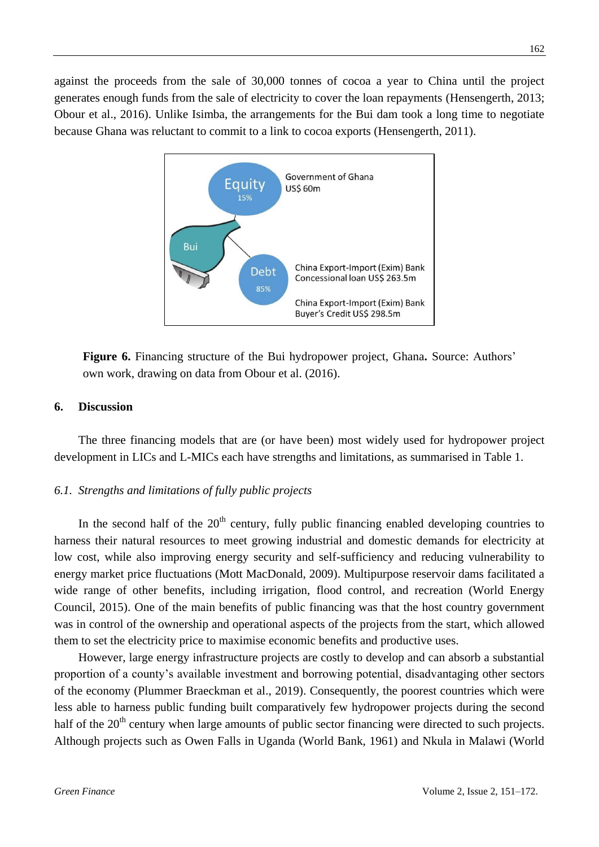against the proceeds from the sale of 30,000 tonnes of cocoa a year to China until the project generates enough funds from the sale of electricity to cover the loan repayments (Hensengerth, 2013; Obour et al., 2016). Unlike Isimba, the arrangements for the Bui dam took a long time to negotiate because Ghana was reluctant to commit to a link to cocoa exports (Hensengerth, 2011).



**Figure 6.** Financing structure of the Bui hydropower project, Ghana**.** Source: Authors' own work, drawing on data from Obour et al. (2016).

#### **6. Discussion**

The three financing models that are (or have been) most widely used for hydropower project development in LICs and L-MICs each have strengths and limitations, as summarised in Table 1.

## *6.1. Strengths and limitations of fully public projects*

In the second half of the  $20<sup>th</sup>$  century, fully public financing enabled developing countries to harness their natural resources to meet growing industrial and domestic demands for electricity at low cost, while also improving energy security and self-sufficiency and reducing vulnerability to energy market price fluctuations (Mott MacDonald, 2009). Multipurpose reservoir dams facilitated a wide range of other benefits, including irrigation, flood control, and recreation (World Energy Council, 2015). One of the main benefits of public financing was that the host country government was in control of the ownership and operational aspects of the projects from the start, which allowed them to set the electricity price to maximise economic benefits and productive uses.

However, large energy infrastructure projects are costly to develop and can absorb a substantial proportion of a county's available investment and borrowing potential, disadvantaging other sectors of the economy (Plummer Braeckman et al., 2019). Consequently, the poorest countries which were less able to harness public funding built comparatively few hydropower projects during the second half of the  $20<sup>th</sup>$  century when large amounts of public sector financing were directed to such projects. Although projects such as Owen Falls in Uganda (World Bank, 1961) and Nkula in Malawi (World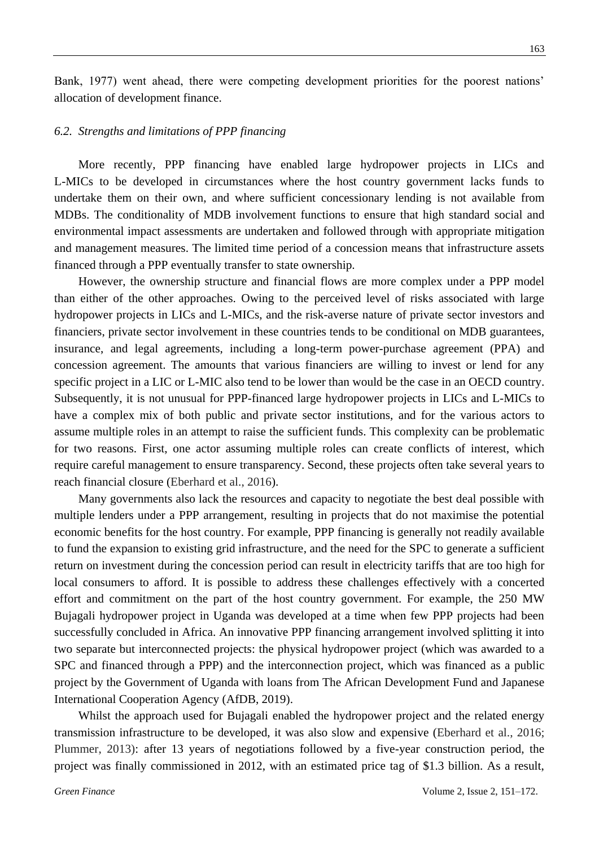Bank, 1977) went ahead, there were competing development priorities for the poorest nations' allocation of development finance.

#### *6.2. Strengths and limitations of PPP financing*

More recently, PPP financing have enabled large hydropower projects in LICs and L-MICs to be developed in circumstances where the host country government lacks funds to undertake them on their own, and where sufficient concessionary lending is not available from MDBs. The conditionality of MDB involvement functions to ensure that high standard social and environmental impact assessments are undertaken and followed through with appropriate mitigation and management measures. The limited time period of a concession means that infrastructure assets financed through a PPP eventually transfer to state ownership.

However, the ownership structure and financial flows are more complex under a PPP model than either of the other approaches. Owing to the perceived level of risks associated with large hydropower projects in LICs and L-MICs, and the risk-averse nature of private sector investors and financiers, private sector involvement in these countries tends to be conditional on MDB guarantees, insurance, and legal agreements, including a long-term power-purchase agreement (PPA) and concession agreement. The amounts that various financiers are willing to invest or lend for any specific project in a LIC or L-MIC also tend to be lower than would be the case in an OECD country. Subsequently, it is not unusual for PPP-financed large hydropower projects in LICs and L-MICs to have a complex mix of both public and private sector institutions, and for the various actors to assume multiple roles in an attempt to raise the sufficient funds. This complexity can be problematic for two reasons. First, one actor assuming multiple roles can create conflicts of interest, which require careful management to ensure transparency. Second, these projects often take several years to reach financial closure (Eberhard et al., 2016).

Many governments also lack the resources and capacity to negotiate the best deal possible with multiple lenders under a PPP arrangement, resulting in projects that do not maximise the potential economic benefits for the host country. For example, PPP financing is generally not readily available to fund the expansion to existing grid infrastructure, and the need for the SPC to generate a sufficient return on investment during the concession period can result in electricity tariffs that are too high for local consumers to afford. It is possible to address these challenges effectively with a concerted effort and commitment on the part of the host country government. For example, the 250 MW Bujagali hydropower project in Uganda was developed at a time when few PPP projects had been successfully concluded in Africa. An innovative PPP financing arrangement involved splitting it into two separate but interconnected projects: the physical hydropower project (which was awarded to a SPC and financed through a PPP) and the interconnection project, which was financed as a public project by the Government of Uganda with loans from The African Development Fund and Japanese International Cooperation Agency (AfDB, 2019).

Whilst the approach used for Bujagali enabled the hydropower project and the related energy transmission infrastructure to be developed, it was also slow and expensive (Eberhard et al., 2016; Plummer, 2013): after 13 years of negotiations followed by a five-year construction period, the project was finally commissioned in 2012, with an estimated price tag of \$1.3 billion. As a result,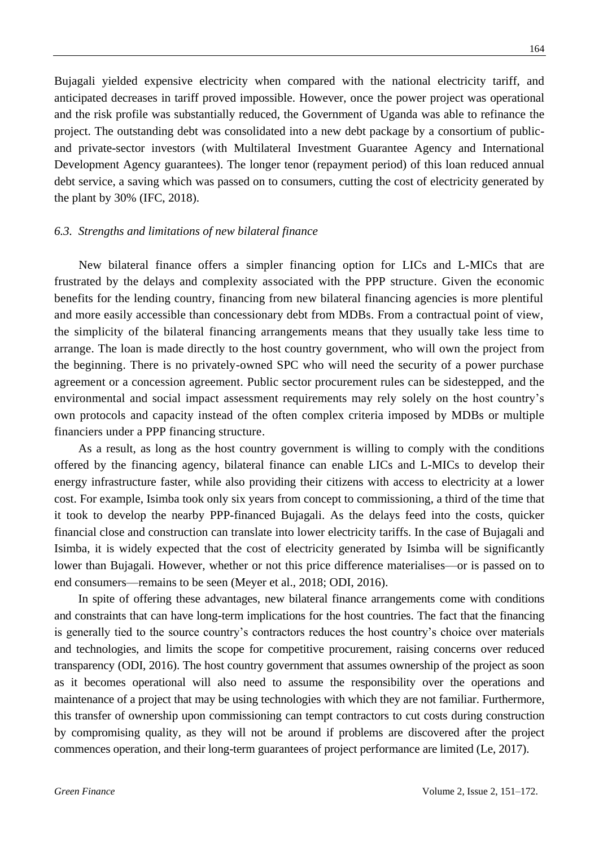Bujagali yielded expensive electricity when compared with the national electricity tariff, and anticipated decreases in tariff proved impossible. However, once the power project was operational and the risk profile was substantially reduced, the Government of Uganda was able to refinance the project. The outstanding debt was consolidated into a new debt package by a consortium of publicand private-sector investors (with Multilateral Investment Guarantee Agency and International Development Agency guarantees). The longer tenor (repayment period) of this loan reduced annual debt service, a saving which was passed on to consumers, cutting the cost of electricity generated by the plant by 30% (IFC, 2018).

#### *6.3. Strengths and limitations of new bilateral finance*

New bilateral finance offers a simpler financing option for LICs and L-MICs that are frustrated by the delays and complexity associated with the PPP structure. Given the economic benefits for the lending country, financing from new bilateral financing agencies is more plentiful and more easily accessible than concessionary debt from MDBs. From a contractual point of view, the simplicity of the bilateral financing arrangements means that they usually take less time to arrange. The loan is made directly to the host country government, who will own the project from the beginning. There is no privately-owned SPC who will need the security of a power purchase agreement or a concession agreement. Public sector procurement rules can be sidestepped, and the environmental and social impact assessment requirements may rely solely on the host country's own protocols and capacity instead of the often complex criteria imposed by MDBs or multiple financiers under a PPP financing structure.

As a result, as long as the host country government is willing to comply with the conditions offered by the financing agency, bilateral finance can enable LICs and L-MICs to develop their energy infrastructure faster, while also providing their citizens with access to electricity at a lower cost. For example, Isimba took only six years from concept to commissioning, a third of the time that it took to develop the nearby PPP-financed Bujagali. As the delays feed into the costs, quicker financial close and construction can translate into lower electricity tariffs. In the case of Bujagali and Isimba, it is widely expected that the cost of electricity generated by Isimba will be significantly lower than Bujagali. However, whether or not this price difference materialises—or is passed on to end consumers—remains to be seen (Meyer et al., 2018; ODI, 2016).

In spite of offering these advantages, new bilateral finance arrangements come with conditions and constraints that can have long-term implications for the host countries. The fact that the financing is generally tied to the source country's contractors reduces the host country's choice over materials and technologies, and limits the scope for competitive procurement, raising concerns over reduced transparency (ODI, 2016). The host country government that assumes ownership of the project as soon as it becomes operational will also need to assume the responsibility over the operations and maintenance of a project that may be using technologies with which they are not familiar. Furthermore, this transfer of ownership upon commissioning can tempt contractors to cut costs during construction by compromising quality, as they will not be around if problems are discovered after the project commences operation, and their long-term guarantees of project performance are limited (Le, 2017).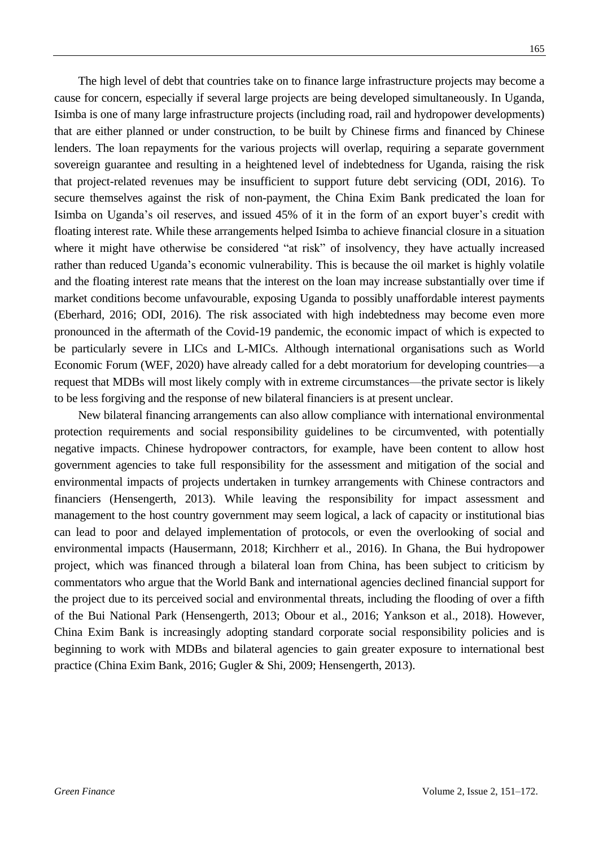The high level of debt that countries take on to finance large infrastructure projects may become a cause for concern, especially if several large projects are being developed simultaneously. In Uganda, Isimba is one of many large infrastructure projects (including road, rail and hydropower developments) that are either planned or under construction, to be built by Chinese firms and financed by Chinese lenders. The loan repayments for the various projects will overlap, requiring a separate government sovereign guarantee and resulting in a heightened level of indebtedness for Uganda, raising the risk that project-related revenues may be insufficient to support future debt servicing (ODI, 2016). To secure themselves against the risk of non-payment, the China Exim Bank predicated the loan for Isimba on Uganda's oil reserves, and issued 45% of it in the form of an export buyer's credit with floating interest rate. While these arrangements helped Isimba to achieve financial closure in a situation where it might have otherwise be considered "at risk" of insolvency, they have actually increased rather than reduced Uganda's economic vulnerability. This is because the oil market is highly volatile and the floating interest rate means that the interest on the loan may increase substantially over time if market conditions become unfavourable, exposing Uganda to possibly unaffordable interest payments (Eberhard, 2016; ODI, 2016). The risk associated with high indebtedness may become even more pronounced in the aftermath of the Covid-19 pandemic, the economic impact of which is expected to be particularly severe in LICs and L-MICs. Although international organisations such as World Economic Forum (WEF, 2020) have already called for a debt moratorium for developing countries—a request that MDBs will most likely comply with in extreme circumstances—the private sector is likely to be less forgiving and the response of new bilateral financiers is at present unclear.

New bilateral financing arrangements can also allow compliance with international environmental protection requirements and social responsibility guidelines to be circumvented, with potentially negative impacts. Chinese hydropower contractors, for example, have been content to allow host government agencies to take full responsibility for the assessment and mitigation of the social and environmental impacts of projects undertaken in turnkey arrangements with Chinese contractors and financiers (Hensengerth, 2013). While leaving the responsibility for impact assessment and management to the host country government may seem logical, a lack of capacity or institutional bias can lead to poor and delayed implementation of protocols, or even the overlooking of social and environmental impacts (Hausermann, 2018; Kirchherr et al., 2016). In Ghana, the Bui hydropower project, which was financed through a bilateral loan from China, has been subject to criticism by commentators who argue that the World Bank and international agencies declined financial support for the project due to its perceived social and environmental threats, including the flooding of over a fifth of the Bui National Park (Hensengerth, 2013; Obour et al., 2016; Yankson et al., 2018). However, China Exim Bank is increasingly adopting standard corporate social responsibility policies and is beginning to work with MDBs and bilateral agencies to gain greater exposure to international best practice (China Exim Bank, 2016; Gugler & Shi, 2009; Hensengerth, 2013).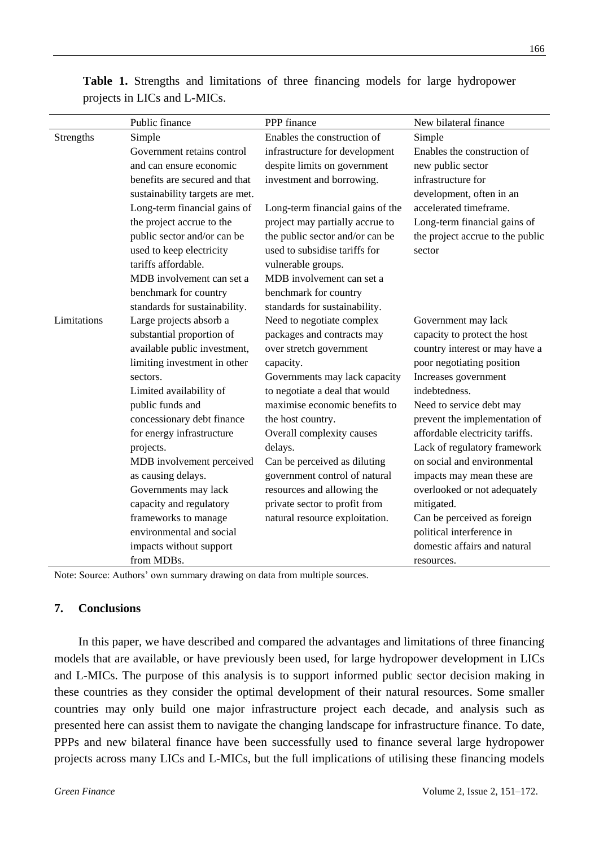|             | Public finance                  | PPP finance                      | New bilateral finance            |
|-------------|---------------------------------|----------------------------------|----------------------------------|
| Strengths   | Simple                          | Enables the construction of      | Simple                           |
|             | Government retains control      | infrastructure for development   | Enables the construction of      |
|             | and can ensure economic         | despite limits on government     | new public sector                |
|             | benefits are secured and that   | investment and borrowing.        | infrastructure for               |
|             | sustainability targets are met. |                                  | development, often in an         |
|             | Long-term financial gains of    | Long-term financial gains of the | accelerated timeframe.           |
|             | the project accrue to the       | project may partially accrue to  | Long-term financial gains of     |
|             | public sector and/or can be     | the public sector and/or can be  | the project accrue to the public |
|             | used to keep electricity        | used to subsidise tariffs for    | sector                           |
|             | tariffs affordable.             | vulnerable groups.               |                                  |
|             | MDB involvement can set a       | MDB involvement can set a        |                                  |
|             | benchmark for country           | benchmark for country            |                                  |
|             | standards for sustainability.   | standards for sustainability.    |                                  |
| Limitations | Large projects absorb a         | Need to negotiate complex        | Government may lack              |
|             | substantial proportion of       | packages and contracts may       | capacity to protect the host     |
|             | available public investment,    | over stretch government          | country interest or may have a   |
|             | limiting investment in other    | capacity.                        | poor negotiating position        |
|             | sectors.                        | Governments may lack capacity    | Increases government             |
|             | Limited availability of         | to negotiate a deal that would   | indebtedness.                    |
|             | public funds and                | maximise economic benefits to    | Need to service debt may         |
|             | concessionary debt finance      | the host country.                | prevent the implementation of    |
|             | for energy infrastructure       | Overall complexity causes        | affordable electricity tariffs.  |
|             | projects.                       | delays.                          | Lack of regulatory framework     |
|             | MDB involvement perceived       | Can be perceived as diluting     | on social and environmental      |
|             | as causing delays.              | government control of natural    | impacts may mean these are       |
|             | Governments may lack            | resources and allowing the       | overlooked or not adequately     |
|             | capacity and regulatory         | private sector to profit from    | mitigated.                       |
|             | frameworks to manage            | natural resource exploitation.   | Can be perceived as foreign      |
|             | environmental and social        |                                  | political interference in        |
|             | impacts without support         |                                  | domestic affairs and natural     |
|             | from MDBs.                      |                                  | resources.                       |

**Table 1.** Strengths and limitations of three financing models for large hydropower projects in LICs and L-MICs.

Note: Source: Authors' own summary drawing on data from multiple sources.

#### **7. Conclusions**

In this paper, we have described and compared the advantages and limitations of three financing models that are available, or have previously been used, for large hydropower development in LICs and L-MICs. The purpose of this analysis is to support informed public sector decision making in these countries as they consider the optimal development of their natural resources. Some smaller countries may only build one major infrastructure project each decade, and analysis such as presented here can assist them to navigate the changing landscape for infrastructure finance. To date, PPPs and new bilateral finance have been successfully used to finance several large hydropower projects across many LICs and L-MICs, but the full implications of utilising these financing models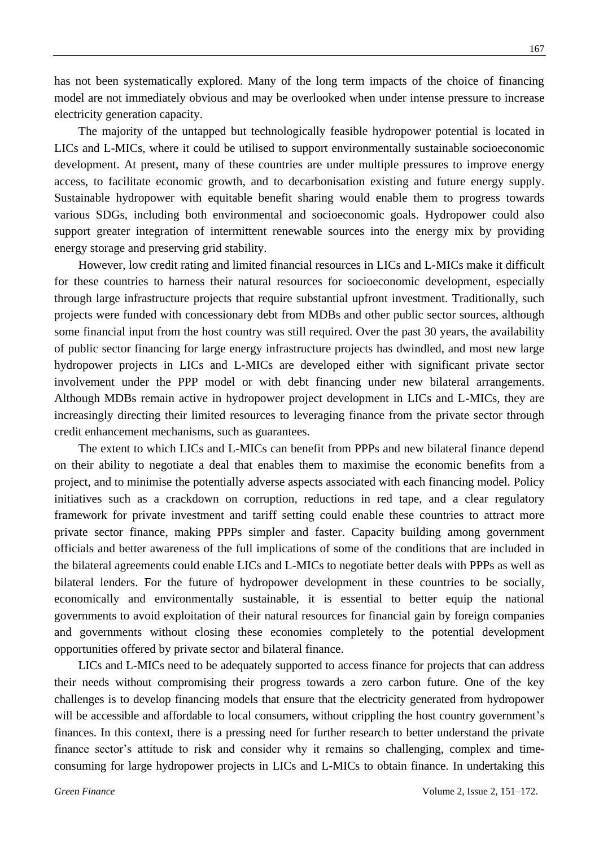has not been systematically explored. Many of the long term impacts of the choice of financing model are not immediately obvious and may be overlooked when under intense pressure to increase electricity generation capacity.

The majority of the untapped but technologically feasible hydropower potential is located in LICs and L-MICs, where it could be utilised to support environmentally sustainable socioeconomic development. At present, many of these countries are under multiple pressures to improve energy access, to facilitate economic growth, and to decarbonisation existing and future energy supply. Sustainable hydropower with equitable benefit sharing would enable them to progress towards various SDGs, including both environmental and socioeconomic goals. Hydropower could also support greater integration of intermittent renewable sources into the energy mix by providing energy storage and preserving grid stability.

However, low credit rating and limited financial resources in LICs and L-MICs make it difficult for these countries to harness their natural resources for socioeconomic development, especially through large infrastructure projects that require substantial upfront investment. Traditionally, such projects were funded with concessionary debt from MDBs and other public sector sources, although some financial input from the host country was still required. Over the past 30 years, the availability of public sector financing for large energy infrastructure projects has dwindled, and most new large hydropower projects in LICs and L-MICs are developed either with significant private sector involvement under the PPP model or with debt financing under new bilateral arrangements. Although MDBs remain active in hydropower project development in LICs and L-MICs, they are increasingly directing their limited resources to leveraging finance from the private sector through credit enhancement mechanisms, such as guarantees.

The extent to which LICs and L-MICs can benefit from PPPs and new bilateral finance depend on their ability to negotiate a deal that enables them to maximise the economic benefits from a project, and to minimise the potentially adverse aspects associated with each financing model. Policy initiatives such as a crackdown on corruption, reductions in red tape, and a clear regulatory framework for private investment and tariff setting could enable these countries to attract more private sector finance, making PPPs simpler and faster. Capacity building among government officials and better awareness of the full implications of some of the conditions that are included in the bilateral agreements could enable LICs and L-MICs to negotiate better deals with PPPs as well as bilateral lenders. For the future of hydropower development in these countries to be socially, economically and environmentally sustainable, it is essential to better equip the national governments to avoid exploitation of their natural resources for financial gain by foreign companies and governments without closing these economies completely to the potential development opportunities offered by private sector and bilateral finance.

LICs and L-MICs need to be adequately supported to access finance for projects that can address their needs without compromising their progress towards a zero carbon future. One of the key challenges is to develop financing models that ensure that the electricity generated from hydropower will be accessible and affordable to local consumers, without crippling the host country government's finances. In this context, there is a pressing need for further research to better understand the private finance sector's attitude to risk and consider why it remains so challenging, complex and timeconsuming for large hydropower projects in LICs and L-MICs to obtain finance. In undertaking this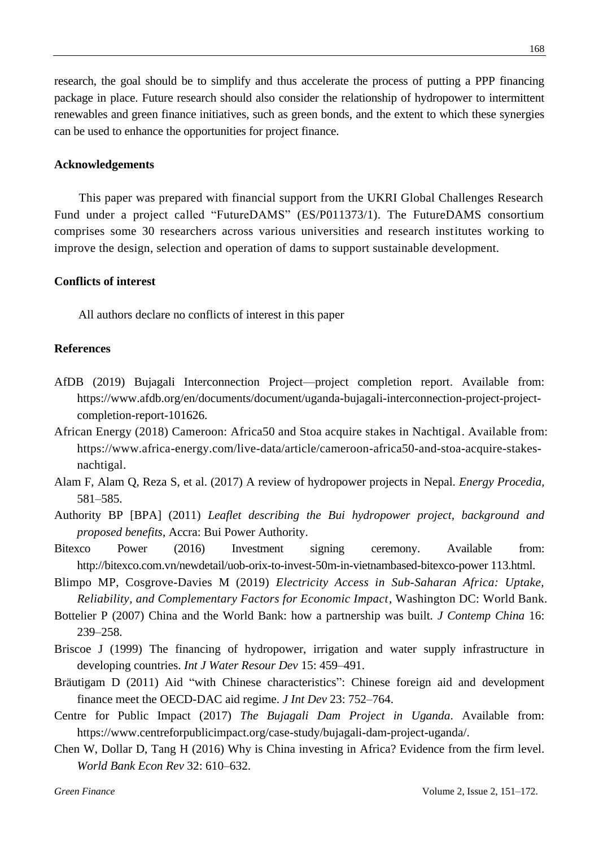research, the goal should be to simplify and thus accelerate the process of putting a PPP financing package in place. Future research should also consider the relationship of hydropower to intermittent renewables and green finance initiatives, such as green bonds, and the extent to which these synergies can be used to enhance the opportunities for project finance.

#### **Acknowledgements**

This paper was prepared with financial support from the UKRI Global Challenges Research Fund under a project called "FutureDAMS" (ES/P011373/1). The FutureDAMS consortium comprises some 30 researchers across various universities and research institutes working to improve the design, selection and operation of dams to support sustainable development.

## **Conflicts of interest**

All authors declare no conflicts of interest in this paper

### **References**

- AfDB (2019) Bujagali Interconnection Project—project completion report. Available from: [https://www.afdb.org/en/documents/document/uganda-bujagali-interconnection-project-project](https://www.afdb.org/en/documents/document/uganda-bujagali-interconnection-project-project-completion-report-101626)[completion-report-101626.](https://www.afdb.org/en/documents/document/uganda-bujagali-interconnection-project-project-completion-report-101626)
- African Energy (2018) Cameroon: Africa50 and Stoa acquire stakes in Nachtigal. Available from: [https://www.africa-energy.com/live-data/article/cameroon-africa50-and-stoa-acquire-stakes](https://www.africa-energy.com/live-data/article/cameroon-africa50-and-stoa-acquire-stakes-nachtigal)[nachtigal.](https://www.africa-energy.com/live-data/article/cameroon-africa50-and-stoa-acquire-stakes-nachtigal)
- Alam F, Alam Q, Reza S, et al. (2017) A review of hydropower projects in Nepal. *Energy Procedia,* 581–585.
- Authority BP [BPA] (2011) *Leaflet describing the Bui hydropower project, background and proposed benefits*, Accra: Bui Power Authority.
- Bitexco Power (2016) Investment signing ceremony. Available from: http://bitexco.com.vn/newdetail/uob-orix-to-invest-50m-in-vietnambased-bitexco-power 113.html.
- Blimpo MP, Cosgrove-Davies M (2019) *Electricity Access in Sub-Saharan Africa: Uptake, Reliability, and Complementary Factors for Economic Impact*, Washington DC: World Bank.
- Bottelier P (2007) China and the World Bank: how a partnership was built. *J Contemp China* 16: 239–258.
- Briscoe J (1999) The financing of hydropower, irrigation and water supply infrastructure in developing countries. *Int J Water Resour Dev* 15: 459–491.
- Bräutigam D (2011) Aid "with Chinese characteristics": Chinese foreign aid and development finance meet the OECD-DAC aid regime. *J Int Dev* 23: 752–764.
- Centre for Public Impact (2017) *The Bujagali Dam Project in Uganda*. Available from: https://www.centreforpublicimpact.org/case-study/bujagali-dam-project-uganda/.
- Chen W, Dollar D, Tang H (2016) Why is China investing in Africa? Evidence from the firm level. *World Bank Econ Rev* 32: 610–632.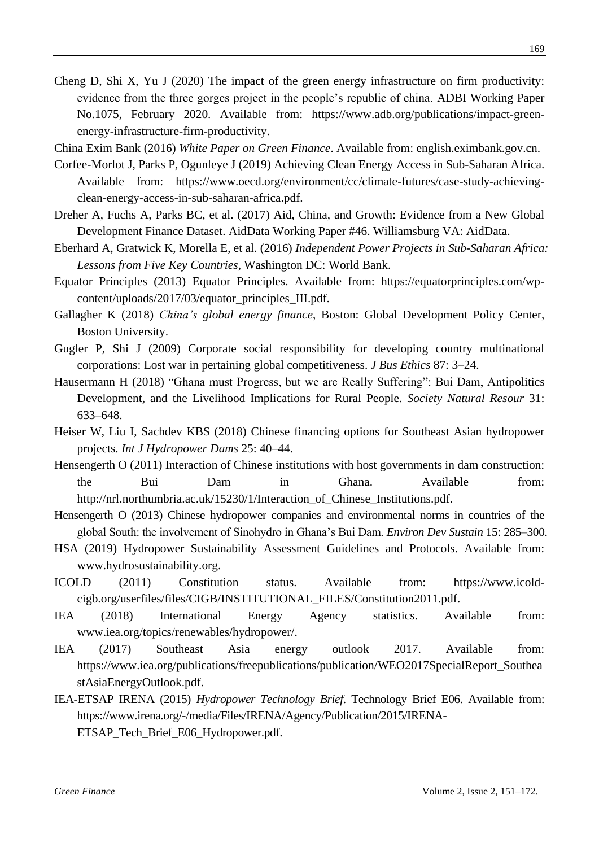- Cheng D, Shi X, Yu J (2020) The impact of the green energy infrastructure on firm productivity: evidence from the three gorges project in the people's republic of china. ADBI Working Paper No.1075, February 2020. Available from: https://www.adb.org/publications/impact-greenenergy-infrastructure-firm-productivity.
- China Exim Bank (2016) *White Paper on Green Finance*. Available from: [english.eximbank.gov.cn.](http://english.eximbank.gov.cn/)
- Corfee-Morlot J, Parks P, Ogunleye J (2019) Achieving Clean Energy Access in Sub-Saharan Africa. Available from: https://www.oecd.org/environment/cc/climate-futures/case-study-achievingclean-energy-access-in-sub-saharan-africa.pdf.
- Dreher A, Fuchs A, Parks BC, et al. (2017) Aid, China, and Growth: Evidence from a New Global Development Finance Dataset. AidData Working Paper #46. Williamsburg VA: AidData.
- Eberhard A, Gratwick K, Morella E, et al. (2016) *Independent Power Projects in Sub-Saharan Africa: Lessons from Five Key Countries*, Washington DC: World Bank.
- Equator Principles (2013) Equator Principles. Available from: https://equatorprinciples.com/wpcontent/uploads/2017/03/equator\_principles\_III.pdf.
- Gallagher K (2018) *China's global energy finance*, Boston: Global Development Policy Center, Boston University.
- Gugler P, Shi J (2009) Corporate social responsibility for developing country multinational corporations: Lost war in pertaining global competitiveness. *J Bus Ethics* 87: 3–24.
- Hausermann H (2018) "Ghana must Progress, but we are Really Suffering": Bui Dam, Antipolitics Development, and the Livelihood Implications for Rural People. *Society Natural Resour* 31: 633–648.
- Heiser W, Liu I, Sachdev KBS (2018) Chinese financing options for Southeast Asian hydropower projects. *Int J Hydropower Dams* 25: 40–44.
- Hensengerth O (2011) [Interaction of Chinese institutions with host governments in dam construction:](http://www.die-gdi.de/CMS-Homepage/openwebcms3_e.nsf/(ynDK_contentByKey)/ANES-8E5DH6?Open&nav=expand:Publications;active:Publications%5CANES-8E5DH6) [the Bui Dam in Ghana.](http://www.die-gdi.de/CMS-Homepage/openwebcms3_e.nsf/(ynDK_contentByKey)/ANES-8E5DH6?Open&nav=expand:Publications;active:Publications%5CANES-8E5DH6) Available from: [http://nrl.northumbria.ac.uk/15230/1/Interaction\\_of\\_Chinese\\_Institutions.pdf.](http://nrl.northumbria.ac.uk/15230/1/Interaction_of_Chinese_Institutions.pdf)
- Hensengerth O (2013) Chinese hydropower companies and environmental norms in countries of the global South: the involvement of Sinohydro in Ghana's Bui Dam. *Environ Dev Sustain* 15: 285–300.
- HSA (2019) Hydropower Sustainability Assessment Guidelines and Protocols. Available from: www.hydrosustainability.org.
- ICOLD (2011) Constitution status. Available from: [https://www.icold](https://www.icold-cigb.org/userfiles/files/CIGB/INSTITUTIONAL_FILES/Constitution2011.pdf)[cigb.org/userfiles/files/CIGB/INSTITUTIONAL\\_FILES/Constitution2011.pdf.](https://www.icold-cigb.org/userfiles/files/CIGB/INSTITUTIONAL_FILES/Constitution2011.pdf)
- IEA (2018) International Energy Agency statistics. Available from: [www.iea.org/topics/renewables/hydropower/.](http://www.iea.org/topics/renewables/hydropower/)
- IEA (2017) Southeast Asia energy outlook 2017. Available from: [https://www.iea.org/publications/freepublications/publication/WEO2017SpecialReport\\_Southea](https://www.iea.org/publications/freepublications/publication/WEO2017SpecialReport_SoutheastAsiaEnergyOutlook.pdf) [stAsiaEnergyOutlook.pdf.](https://www.iea.org/publications/freepublications/publication/WEO2017SpecialReport_SoutheastAsiaEnergyOutlook.pdf)
- IEA-ETSAP IRENA (2015) *Hydropower Technology Brief*. Technology Brief E06. Available from: https://www.irena.org/-/media/Files/IRENA/Agency/Publication/2015/IRENA-ETSAP\_Tech\_Brief\_E06\_Hydropower.pdf.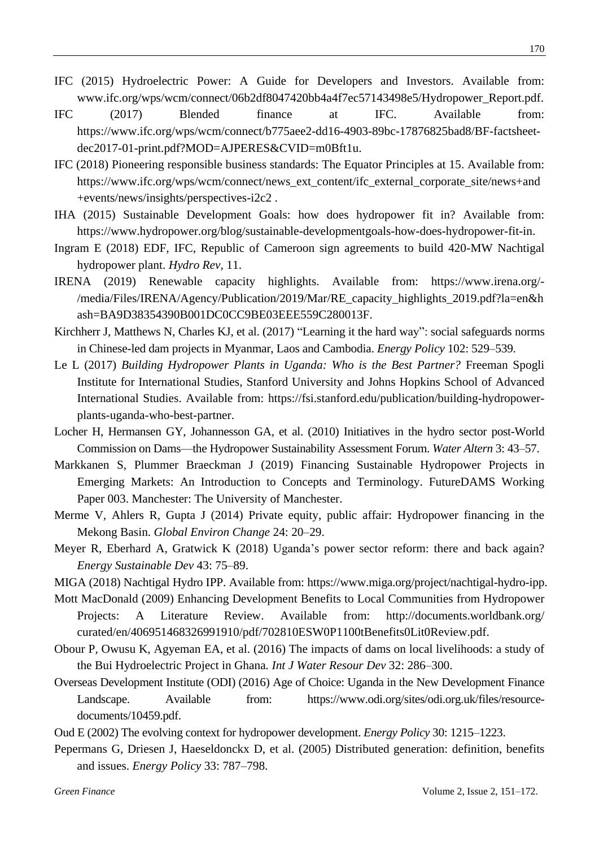- IFC (2015) Hydroelectric Power: A Guide for Developers and Investors. Available from: [www.ifc.org/wps/wcm/connect/06b2df8047420bb4a4f7ec57143498e5/Hydropower\\_Report.pdf.](http://www.ifc.org/wps/wcm/connect/06b2df8047420bb4a4f7ec57143498e5/Hydropower_Report.pdf)
- IFC (2017) Blended finance at IFC. Available from: [https://www.ifc.org/wps/wcm/connect/b775aee2-dd16-4903-89bc-17876825bad8/BF-factsheet](https://www.ifc.org/wps/wcm/connect/b775aee2-dd16-4903-89bc-17876825bad8/BF-factsheet-dec2017-01-print.pdf?MOD=AJPERES&CVID=m0Bft1u)[dec2017-01-print.pdf?MOD=AJPERES&CVID=m0Bft1u.](https://www.ifc.org/wps/wcm/connect/b775aee2-dd16-4903-89bc-17876825bad8/BF-factsheet-dec2017-01-print.pdf?MOD=AJPERES&CVID=m0Bft1u)
- IFC (2018) Pioneering responsible business standards: The Equator Principles at 15. Available from: https://www.ifc.org/wps/wcm/connect/news\_ext\_content/ifc\_external\_corporate\_site/news+and +events/news/insights/perspectives-i2c2 .
- IHA (2015) Sustainable Development Goals: how does hydropower fit in? Available from: [https://www.hydropower.org/blog/sustainable-developmentgoals-how-does-hydropower-fit-in.](https://www.hydropower.org/blog/sustainable-developmentgoals-how-does-hydropower-fit-in)
- Ingram E (2018) EDF, IFC, Republic of Cameroon sign agreements to build 420-MW Nachtigal hydropower plant. *Hydro Rev,* 11.
- IRENA (2019) Renewable capacity highlights. Available from: [https://www.irena.org/-](https://www.irena.org/-/media/Files/IRENA/Agency/Publication/2019/Mar/RE_capacity_highlights_2019.pdf?la=en&hash=BA9D38354390B001DC0CC9BE03EEE559C280013F) [/media/Files/IRENA/Agency/Publication/2019/Mar/RE\\_capacity\\_highlights\\_2019.pdf?la=en&h](https://www.irena.org/-/media/Files/IRENA/Agency/Publication/2019/Mar/RE_capacity_highlights_2019.pdf?la=en&hash=BA9D38354390B001DC0CC9BE03EEE559C280013F) [ash=BA9D38354390B001DC0CC9BE03EEE559C280013F.](https://www.irena.org/-/media/Files/IRENA/Agency/Publication/2019/Mar/RE_capacity_highlights_2019.pdf?la=en&hash=BA9D38354390B001DC0CC9BE03EEE559C280013F)
- Kirchherr J, Matthews N, Charles KJ, et al. (2017) "Learning it the hard way": social safeguards norms in Chinese-led dam projects in Myanmar, Laos and Cambodia. *Energy Policy* 102: 529–539.
- Le L (2017) *Building Hydropower Plants in Uganda: Who is the Best Partner?* Freeman Spogli Institute for International Studies, Stanford University and Johns Hopkins School of Advanced International Studies. Available from: [https://fsi.stanford.edu/publication/building-hydropower](https://fsi.stanford.edu/publication/building-hydropower-plants-uganda-who-best-partner)[plants-uganda-who-best-partner.](https://fsi.stanford.edu/publication/building-hydropower-plants-uganda-who-best-partner)
- Locher H, Hermansen GY, Johannesson GA, et al. (2010) Initiatives in the hydro sector post-World Commission on Dams—the Hydropower Sustainability Assessment Forum. *Water Altern* 3: 43–57.
- Markkanen S, Plummer Braeckman J (2019) Financing Sustainable Hydropower Projects in Emerging Markets: An Introduction to Concepts and Terminology. FutureDAMS Working Paper 003. Manchester: The University of Manchester.
- Merme V, Ahlers R, Gupta J (2014) Private equity, public affair: Hydropower financing in the Mekong Basin. *Global Environ Change* 24: 20–29.
- Meyer R, Eberhard A, Gratwick K (2018) Uganda's power sector reform: there and back again? *Energy Sustainable Dev* 43: 75–89.
- MIGA (2018) Nachtigal Hydro IPP. Available from: https://www.miga.org/project/nachtigal-hydro-ipp.
- Mott MacDonald (2009) Enhancing Development Benefits to Local Communities from Hydropower Projects: A Literature Review. Available from: http://documents.worldbank.org/ curated/en/406951468326991910/pdf/702810ESW0P1100tBenefits0Lit0Review.pdf.
- Obour P, Owusu K, Agyeman EA, et al. (2016) The impacts of dams on local livelihoods: a study of the Bui Hydroelectric Project in Ghana*. Int J Water Resour Dev* 32: 286–300.
- Overseas Development Institute (ODI) (2016) Age of Choice: Uganda in the New Development Finance Landscape. Available from: [https://www.odi.org/sites/odi.org.uk/files/resource](https://www.odi.org/sites/odi.org.uk/files/resource-documents/10459.pdf)[documents/10459.pdf.](https://www.odi.org/sites/odi.org.uk/files/resource-documents/10459.pdf)
- Oud E (2002) The evolving context for hydropower development. *Energy Policy* 30: 1215–1223.
- Pepermans G, Driesen J, Haeseldonckx D, et al. (2005) Distributed generation: definition, benefits and issues. *Energy Policy* 33: 787–798.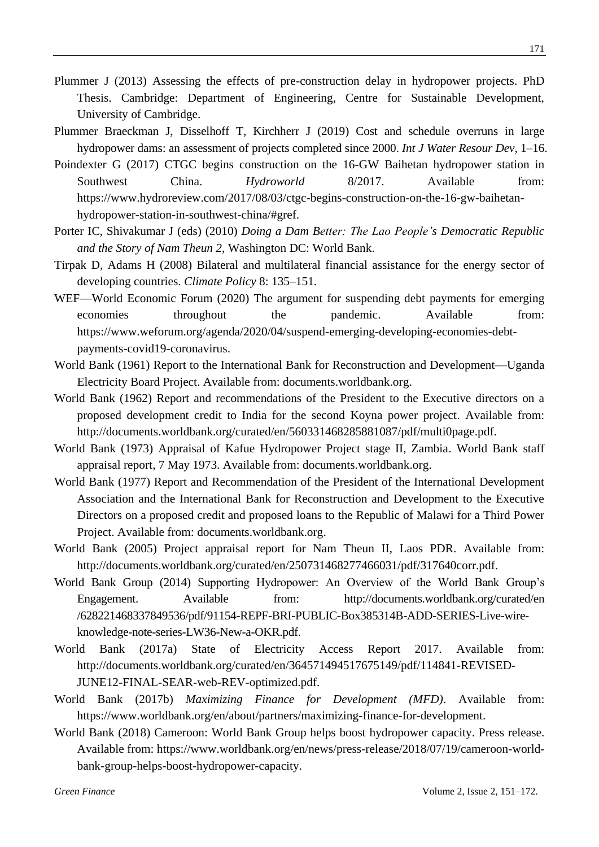- Plummer J (2013) Assessing the effects of pre-construction delay in hydropower projects. PhD Thesis. Cambridge: Department of Engineering, Centre for Sustainable Development, University of Cambridge.
- Plummer Braeckman J, Disselhoff T, Kirchherr J (2019) Cost and schedule overruns in large hydropower dams: an assessment of projects completed since 2000. *Int J Water Resour Dev,* 1–16.
- Poindexter G (2017) CTGC begins construction on the 16-GW Baihetan hydropower station in Southwest China. *Hydroworld* 8/2017. Available from: https://www.hydroreview.com/2017/08/03/ctgc-begins-construction-on-the-16-gw-baihetanhydropower-station-in-southwest-china/#gref.
- Porter IC, Shivakumar J (eds) (2010) *Doing a Dam Better: The Lao People's Democratic Republic and the Story of Nam Theun 2*, Washington DC: World Bank.
- Tirpak D, Adams H (2008) Bilateral and multilateral financial assistance for the energy sector of developing countries. *Climate Policy* 8: 135–151.
- WEF—World Economic Forum (2020) The argument for suspending debt payments for emerging economies throughout the pandemic. Available from: https://www.weforum.org/agenda/2020/04/suspend-emerging-developing-economies-debtpayments-covid19-coronavirus.
- World Bank (1961) Report to the International Bank for Reconstruction and Development—Uganda Electricity Board Project. Available from: documents.worldbank.org.
- World Bank (1962) Report and recommendations of the President to the Executive directors on a proposed development credit to India for the second Koyna power project. Available from: http://documents.worldbank.org/curated/en/560331468285881087/pdf/multi0page.pdf.
- World Bank (1973) Appraisal of Kafue Hydropower Project stage II, Zambia. World Bank staff appraisal report, 7 May 1973. Available from: documents.worldbank.org.
- World Bank (1977) Report and Recommendation of the President of the International Development Association and the International Bank for Reconstruction and Development to the Executive Directors on a proposed credit and proposed loans to the Republic of Malawi for a Third Power Project. Available from: documents.worldbank.org.
- World Bank (2005) Project appraisal report for Nam Theun II, Laos PDR. Available from: http://documents.worldbank.org/curated/en/250731468277466031/pdf/317640corr.pdf.
- World Bank Group (2014) Supporting Hydropower: An Overview of the World Bank Group's Engagement. Available from: http://documents.worldbank.org/curated/en /628221468337849536/pdf/91154-REPF-BRI-PUBLIC-Box385314B-ADD-SERIES-Live-wireknowledge-note-series-LW36-New-a-OKR.pdf.
- World Bank (2017a) State of Electricity Access Report 2017. Available from: [http://documents.worldbank.org/curated/en/364571494517675149/pdf/114841-REVISED-](http://documents.worldbank.org/curated/en/364571494517675149/pdf/114841-REVISED-JUNE12-FINAL-SEAR-web-REV-optimized.pdf)[JUNE12-FINAL-SEAR-web-REV-optimized.pdf.](http://documents.worldbank.org/curated/en/364571494517675149/pdf/114841-REVISED-JUNE12-FINAL-SEAR-web-REV-optimized.pdf)
- World Bank (2017b) *Maximizing Finance for Development (MFD)*. Available from: [https://www.worldbank.org/en/about/partners/maximizing-finance-for-development.](https://www.worldbank.org/en/about/partners/maximizing-finance-for-development)
- World Bank (2018) Cameroon: World Bank Group helps boost hydropower capacity. Press release. Available from: [https://www.worldbank.org/en/news/press-release/2018/07/19/cameroon-world](https://www.worldbank.org/en/news/press-release/2018/07/19/cameroon-world-bank-group-helps-boost-hydropower-capacity)[bank-group-helps-boost-hydropower-capacity.](https://www.worldbank.org/en/news/press-release/2018/07/19/cameroon-world-bank-group-helps-boost-hydropower-capacity)